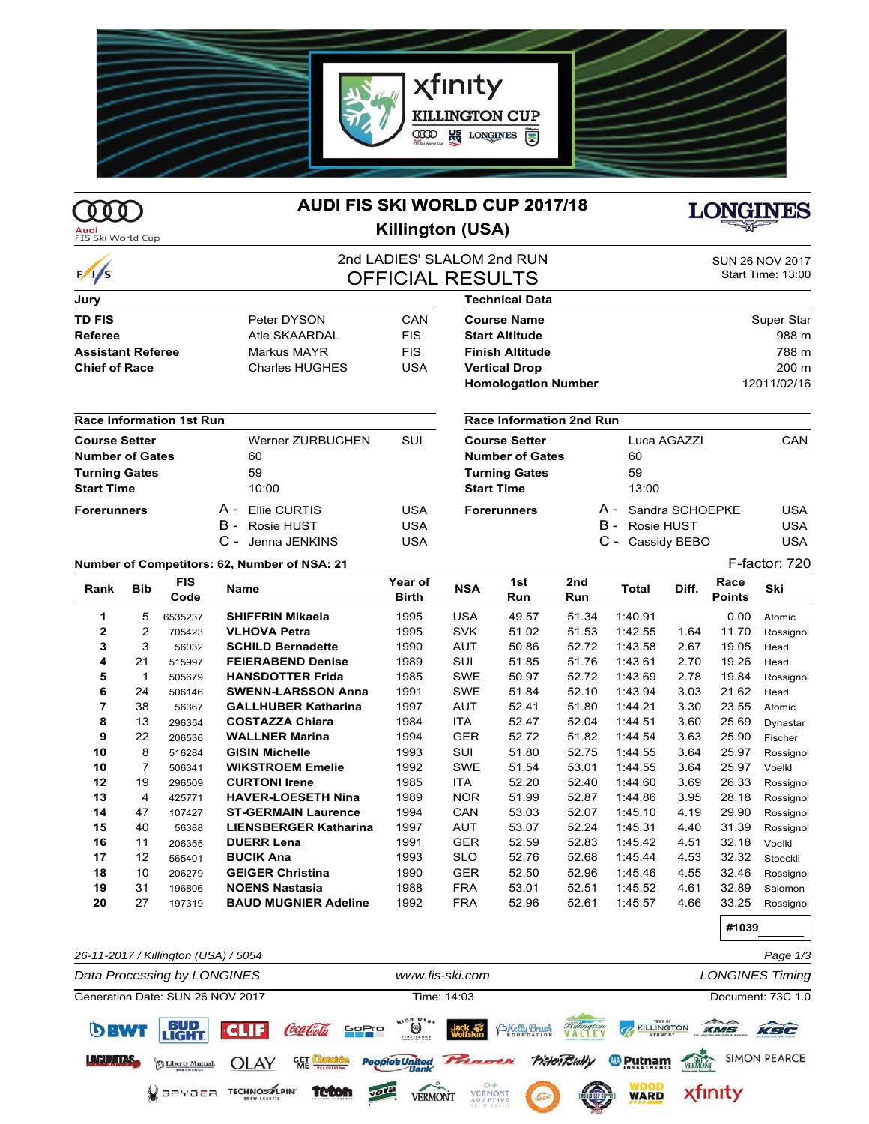

# **COOD**

 $\frac{1}{s}$ 

## **AUDI FIS SKI WORLD CUP 2017/18**



## **Killington (USA)**



## 2nd LADIES' SLALOM 2nd RUN **OFFICIAL RESULTS**

| SUN 26 NOV 2017   |  |
|-------------------|--|
| Start Time: 13:00 |  |

| Jury                     |                       |            |
|--------------------------|-----------------------|------------|
| <b>TD FIS</b>            | Peter DYSON           | CAN        |
| <b>Referee</b>           | Atle SKAARDAI         | <b>FIS</b> |
| <b>Assistant Referee</b> | Markus MAYR           | <b>FIS</b> |
| <b>Chief of Race</b>     | <b>Charles HUGHES</b> | USA        |

#### **Race Information 1st Run**

| Course Setter          |  | Werner ZURBUCHEN  | SUI |
|------------------------|--|-------------------|-----|
| <b>Number of Gates</b> |  | 60                |     |
| <b>Turning Gates</b>   |  | 59                |     |
| Start Time             |  | 10:00             |     |
| Forerunners            |  | A - Ellie CURTIS  | USA |
|                        |  | B - Rosie HUST    | USA |
|                        |  | C - Jenna JENKINS | USA |

| Technical Data             |                   |
|----------------------------|-------------------|
| Course Name                | <b>Super Star</b> |
| <b>Start Altitude</b>      | 988 m             |
| Finish Altitude            | 788 m             |
| <b>Vertical Drop</b>       | $200 \text{ m}$   |
| <b>Homologation Number</b> | 12011/02/16       |
|                            |                   |

#### **Race Information 2nd Run**

| <b>Course Setter</b>   | Luca AGAZZI         | CAN        |
|------------------------|---------------------|------------|
| <b>Number of Gates</b> | 60                  |            |
| <b>Turning Gates</b>   | 59                  |            |
| Start Time             | 13:00               |            |
| Forerunners            | A - Sandra SCHOEPKE | USA        |
|                        | B - Rosie HUST      | <b>USA</b> |
|                        | C - Cassidy BEBO    | USA        |

#### **Number of Competitors: 62, Number of NSA: 21 F-factor: 720**

| Rank         | <b>Bib</b>     | <b>FIS</b><br>Code | Name                         | Year of<br>Birth | <b>NSA</b> | 1st<br>Run | 2nd<br>Run | Total   | Diff. | Race<br><b>Points</b> | Ski       |
|--------------|----------------|--------------------|------------------------------|------------------|------------|------------|------------|---------|-------|-----------------------|-----------|
| 1            | 5              | 6535237            | <b>SHIFFRIN Mikaela</b>      | 1995             | <b>USA</b> | 49.57      | 51.34      | 1:40.91 |       | 0.00                  | Atomic    |
| $\mathbf{2}$ | 2              | 705423             | <b>VLHOVA Petra</b>          | 1995             | <b>SVK</b> | 51.02      | 51.53      | 1:42.55 | 1.64  | 11.70                 | Rossignol |
| 3            | 3              | 56032              | <b>SCHILD Bernadette</b>     | 1990             | AUT        | 50.86      | 52.72      | 1:43.58 | 2.67  | 19.05                 | Head      |
| 4            | 21             | 515997             | <b>FEIERABEND Denise</b>     | 1989             | SUI        | 51.85      | 51.76      | 1:43.61 | 2.70  | 19.26                 | Head      |
| 5            | 1              | 505679             | <b>HANSDOTTER Frida</b>      | 1985             | <b>SWE</b> | 50.97      | 52.72      | 1:43.69 | 2.78  | 19.84                 | Rossignol |
| 6            | 24             | 506146             | <b>SWENN-LARSSON Anna</b>    | 1991             | <b>SWE</b> | 51.84      | 52.10      | 1:43.94 | 3.03  | 21.62                 | Head      |
| 7            | 38             | 56367              | <b>GALLHUBER Katharina</b>   | 1997             | AUT        | 52.41      | 51.80      | 1:44.21 | 3.30  | 23.55                 | Atomic    |
| 8            | 13             | 296354             | <b>COSTAZZA Chiara</b>       | 1984             | <b>ITA</b> | 52.47      | 52.04      | 1:44.51 | 3.60  | 25.69                 | Dynastar  |
| 9            | 22             | 206536             | <b>WALLNER Marina</b>        | 1994             | <b>GER</b> | 52.72      | 51.82      | 1:44.54 | 3.63  | 25.90                 | Fischer   |
| 10           | 8              | 516284             | <b>GISIN Michelle</b>        | 1993             | SUI        | 51.80      | 52.75      | 1:44.55 | 3.64  | 25.97                 | Rossignol |
| 10           | $\overline{7}$ | 506341             | <b>WIKSTROEM Emelie</b>      | 1992             | <b>SWE</b> | 51.54      | 53.01      | 1:44.55 | 3.64  | 25.97                 | Voelkl    |
| 12           | 19             | 296509             | <b>CURTONI Irene</b>         | 1985             | <b>ITA</b> | 52.20      | 52.40      | 1:44.60 | 3.69  | 26.33                 | Rossignol |
| 13           | 4              | 425771             | <b>HAVER-LOESETH Nina</b>    | 1989             | <b>NOR</b> | 51.99      | 52.87      | 1:44.86 | 3.95  | 28.18                 | Rossignol |
| 14           | 47             | 107427             | <b>ST-GERMAIN Laurence</b>   | 1994             | CAN        | 53.03      | 52.07      | 1:45.10 | 4.19  | 29.90                 | Rossignol |
| 15           | 40             | 56388              | <b>LIENSBERGER Katharina</b> | 1997             | AUT        | 53.07      | 52.24      | 1:45.31 | 4.40  | 31.39                 | Rossignol |
| 16           | 11             | 206355             | <b>DUERR Lena</b>            | 1991             | <b>GER</b> | 52.59      | 52.83      | 1:45.42 | 4.51  | 32.18                 | Voelkl    |
| 17           | 12             | 565401             | <b>BUCIK Ana</b>             | 1993             | <b>SLO</b> | 52.76      | 52.68      | 1:45.44 | 4.53  | 32.32                 | Stoeckli  |
| 18           | 10             | 206279             | <b>GEIGER Christina</b>      | 1990             | <b>GER</b> | 52.50      | 52.96      | 1:45.46 | 4.55  | 32.46                 | Rossignol |
| 19           | 31             | 196806             | <b>NOENS Nastasia</b>        | 1988             | <b>FRA</b> | 53.01      | 52.51      | 1:45.52 | 4.61  | 32.89                 | Salomon   |
| 20           | 27             | 197319             | <b>BAUD MUGNIER Adeline</b>  | 1992             | <b>FRA</b> | 52.96      | 52.61      | 1:45.57 | 4.66  | 33.25                 | Rossignol |

**#1039**

| 26-11-2017 / Killington (USA) / 5054               |                                                                         | Page 1/3                                              |  |  |
|----------------------------------------------------|-------------------------------------------------------------------------|-------------------------------------------------------|--|--|
| Data Processing by LONGINES                        | www.fis-ski.com                                                         | <b>LONGINES Timing</b>                                |  |  |
| Generation Date: SUN 26 NOV 2017                   | Time: 14:03                                                             | Document: 73C 1.0                                     |  |  |
| <b>BUD</b><br>DBWT                                 | CLIF Coaleda Sepre U<br>BKelly Brush<br>Jack<br>Wolfskin                | <b>Tellington THE KILLINGTON</b><br>KSC<br>KMS        |  |  |
| <b>LACUN TAS</b><br><b>OLAY</b><br>Liberty Mutual. | <b>PisterTBully</b><br>People's United. Princrin<br><b>GET</b> Octarida | <b>SIMON PEARCE</b><br><sup>®</sup> Putnam<br>VERMONT |  |  |
| <b>TECHNOSTLPIN</b><br>$V$ spydea                  | VERMONT<br><b>teton</b><br>vara<br><b>VERMONT</b><br><b>ROCKER</b>      | <b>WOOD</b><br>WARD<br>xfinity                        |  |  |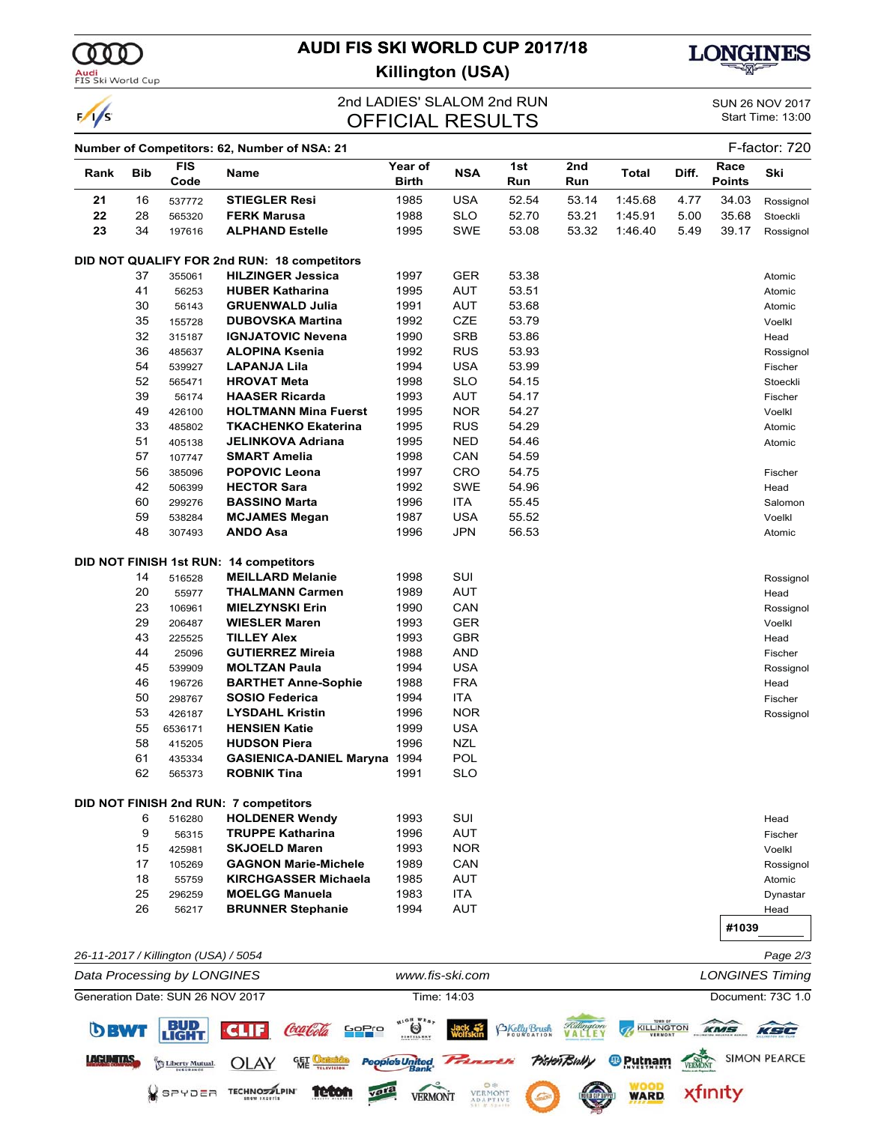

 $\sqrt{s}$ 

## **AUDI FIS SKI WORLD CUP 2017/18**



**PISHOTRING ® PULLER TO SIMON PEARCE** 

xfinity

**WARD** 

**LETTER** 

## **Killington (USA)**

## 2nd LADIES' SLALOM 2nd RUN SUN 26 NOV 2017<br>
CHEICIAL RESLILTS
Start Time: 13:00 **OFFICIAL RESULTS**

|      |            |                                      | Number of Competitors: 62, Number of NSA: 21 |                                     |                 |                     |            |                                    |       |                       | F-factor: 720          |
|------|------------|--------------------------------------|----------------------------------------------|-------------------------------------|-----------------|---------------------|------------|------------------------------------|-------|-----------------------|------------------------|
| Rank | <b>Bib</b> | <b>FIS</b><br>Code                   | Name                                         | Year of<br><b>Birth</b>             | <b>NSA</b>      | 1st<br>Run          | 2nd<br>Run | <b>Total</b>                       | Diff. | Race<br><b>Points</b> | Ski                    |
| 21   | 16         | 537772                               | <b>STIEGLER Resi</b>                         | 1985                                | <b>USA</b>      | 52.54               | 53.14      | 1:45.68                            | 4.77  | 34.03                 | Rossignol              |
| 22   | 28         | 565320                               | <b>FERK Marusa</b>                           | 1988                                | <b>SLO</b>      | 52.70               | 53.21      | 1:45.91                            | 5.00  | 35.68                 | Stoeckli               |
| 23   | 34         | 197616                               | <b>ALPHAND Estelle</b>                       | 1995                                | <b>SWE</b>      | 53.08               | 53.32      | 1:46.40                            | 5.49  | 39.17                 | Rossignol              |
|      |            |                                      | DID NOT QUALIFY FOR 2nd RUN: 18 competitors  |                                     |                 |                     |            |                                    |       |                       |                        |
|      | 37         | 355061                               | <b>HILZINGER Jessica</b>                     | 1997                                | GER             | 53.38               |            |                                    |       |                       | Atomic                 |
|      | 41         | 56253                                | <b>HUBER Katharina</b>                       | 1995                                | <b>AUT</b>      | 53.51               |            |                                    |       |                       | Atomic                 |
|      | 30         | 56143                                | <b>GRUENWALD Julia</b>                       | 1991                                | <b>AUT</b>      | 53.68               |            |                                    |       |                       | Atomic                 |
|      | 35         | 155728                               | <b>DUBOVSKA Martina</b>                      | 1992                                | CZE             | 53.79               |            |                                    |       |                       | Voelkl                 |
|      | 32         | 315187                               | <b>IGNJATOVIC Nevena</b>                     | 1990                                | <b>SRB</b>      | 53.86               |            |                                    |       |                       | Head                   |
|      | 36         | 485637                               | <b>ALOPINA Ksenia</b>                        | 1992                                | <b>RUS</b>      | 53.93               |            |                                    |       |                       | Rossignol              |
|      | 54         | 539927                               | <b>LAPANJA Lila</b>                          | 1994                                | <b>USA</b>      | 53.99               |            |                                    |       |                       | Fischer                |
|      | 52         | 565471                               | <b>HROVAT Meta</b>                           | 1998                                | <b>SLO</b>      | 54.15               |            |                                    |       |                       | Stoeckli               |
|      | 39         | 56174                                | <b>HAASER Ricarda</b>                        | 1993                                | <b>AUT</b>      | 54.17               |            |                                    |       |                       | Fischer                |
|      | 49         | 426100                               | <b>HOLTMANN Mina Fuerst</b>                  | 1995                                | <b>NOR</b>      | 54.27               |            |                                    |       |                       | Voelkl                 |
|      | 33         | 485802                               | <b>TKACHENKO Ekaterina</b>                   | 1995                                | <b>RUS</b>      | 54.29               |            |                                    |       |                       | Atomic                 |
|      | 51         | 405138                               | <b>JELINKOVA Adriana</b>                     | 1995                                | <b>NED</b>      | 54.46               |            |                                    |       |                       | Atomic                 |
|      | 57         | 107747                               | <b>SMART Amelia</b>                          | 1998                                | CAN             | 54.59               |            |                                    |       |                       |                        |
|      | 56         | 385096                               | <b>POPOVIC Leona</b>                         | 1997                                | CRO             | 54.75               |            |                                    |       |                       | Fischer                |
|      | 42         | 506399                               | <b>HECTOR Sara</b>                           | 1992                                | <b>SWE</b>      | 54.96               |            |                                    |       |                       | Head                   |
|      | 60         | 299276                               | <b>BASSINO Marta</b>                         | 1996                                | <b>ITA</b>      | 55.45               |            |                                    |       |                       | Salomon                |
|      | 59         | 538284                               | <b>MCJAMES Megan</b>                         | 1987                                | USA             | 55.52               |            |                                    |       |                       | Voelkl                 |
|      | 48         | 307493                               | ANDO Asa                                     | 1996                                | JPN             | 56.53               |            |                                    |       |                       | Atomic                 |
|      |            |                                      | DID NOT FINISH 1st RUN: 14 competitors       |                                     |                 |                     |            |                                    |       |                       |                        |
|      | 14         | 516528                               | <b>MEILLARD Melanie</b>                      | 1998                                | SUI             |                     |            |                                    |       |                       | Rossignol              |
|      | 20         | 55977                                | <b>THALMANN Carmen</b>                       | 1989                                | <b>AUT</b>      |                     |            |                                    |       |                       | Head                   |
|      | 23         | 106961                               | <b>MIELZYNSKI Erin</b>                       | 1990                                | CAN             |                     |            |                                    |       |                       | Rossignol              |
|      | 29         | 206487                               | <b>WIESLER Maren</b>                         | 1993                                | <b>GER</b>      |                     |            |                                    |       |                       | Voelkl                 |
|      | 43         | 225525                               | <b>TILLEY Alex</b>                           | 1993                                | <b>GBR</b>      |                     |            |                                    |       |                       | Head                   |
|      | 44         | 25096                                | <b>GUTIERREZ Mireia</b>                      | 1988                                | AND             |                     |            |                                    |       |                       | Fischer                |
|      | 45         | 539909                               | <b>MOLTZAN Paula</b>                         | 1994                                | <b>USA</b>      |                     |            |                                    |       |                       | Rossignol              |
|      | 46         | 196726                               | <b>BARTHET Anne-Sophie</b>                   | 1988                                | <b>FRA</b>      |                     |            |                                    |       |                       | Head                   |
|      | 50         | 298767                               | <b>SOSIO Federica</b>                        | 1994                                | <b>ITA</b>      |                     |            |                                    |       |                       | Fischer                |
|      | 53         | 426187                               | <b>LYSDAHL Kristin</b>                       | 1996                                | <b>NOR</b>      |                     |            |                                    |       |                       | Rossignol              |
|      | 55         | 6536171                              | <b>HENSIEN Katie</b>                         | 1999                                | <b>USA</b>      |                     |            |                                    |       |                       |                        |
|      | 58         | 415205                               | <b>HUDSON Piera</b>                          | 1996                                | <b>NZL</b>      |                     |            |                                    |       |                       |                        |
|      | 61         | 435334                               | <b>GASIENICA-DANIEL Maryna</b>               | 1994                                | POL             |                     |            |                                    |       |                       |                        |
|      | 62         | 565373                               | <b>ROBNIK Tina</b>                           | 1991                                | SLO             |                     |            |                                    |       |                       |                        |
|      |            |                                      | DID NOT FINISH 2nd RUN: 7 competitors        |                                     |                 |                     |            |                                    |       |                       |                        |
|      | 6          | 516280                               | <b>HOLDENER Wendy</b>                        | 1993                                | SUI             |                     |            |                                    |       |                       | Head                   |
|      | 9          | 56315                                | <b>TRUPPE Katharina</b>                      | 1996                                | <b>AUT</b>      |                     |            |                                    |       |                       | Fischer                |
|      | 15         | 425981                               | <b>SKJOELD Maren</b>                         | 1993                                | <b>NOR</b>      |                     |            |                                    |       |                       | Voelkl                 |
|      | 17         | 105269                               | <b>GAGNON Marie-Michele</b>                  | 1989                                | CAN             |                     |            |                                    |       |                       | Rossignol              |
|      | 18         | 55759                                | <b>KIRCHGASSER Michaela</b>                  | 1985                                | AUT             |                     |            |                                    |       |                       | Atomic                 |
|      | 25         | 296259                               | <b>MOELGG Manuela</b>                        | 1983                                | <b>ITA</b>      |                     |            |                                    |       |                       | Dynastar               |
|      | 26         | 56217                                | <b>BRUNNER Stephanie</b>                     | 1994                                | <b>AUT</b>      |                     |            |                                    |       |                       | Head                   |
|      |            |                                      |                                              |                                     |                 |                     |            |                                    |       | #1039                 |                        |
|      |            | 26-11-2017 / Killington (USA) / 5054 |                                              |                                     |                 |                     |            |                                    |       |                       | Page 2/3               |
|      |            | Data Processing by LONGINES          |                                              |                                     | www.fis-ski.com |                     |            |                                    |       |                       | <b>LONGINES Timing</b> |
|      |            | Generation Date: SUN 26 NOV 2017     |                                              |                                     | Time: 14:03     |                     |            |                                    |       |                       | Document: 73C 1.0      |
| DBWT |            | <b>EUD</b>                           | CLIF<br><i>ccalod</i><br><mark>soPr</mark> o | HIGH WEST<br>O<br><b>BISTILLERY</b> |                 | <b>BKelly Brush</b> |            | <b>TOWN O</b><br><b>KILLINGTON</b> |       | KMS                   | $K-1$                  |

**LACUNTINS** Withcrity Mutual OLAY SEE Octobridge People's United Princesters

vara

**VERMONT** 

VEI

SPYDER TECHNOMPIN TELON